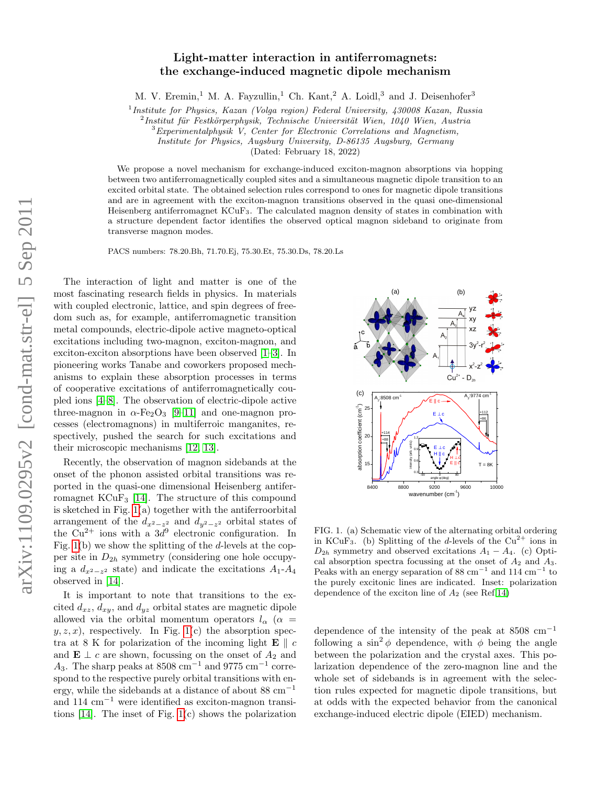## Light-matter interaction in antiferromagnets: the exchange-induced magnetic dipole mechanism

M. V. Eremin,<sup>1</sup> M. A. Fayzullin,<sup>1</sup> Ch. Kant,<sup>2</sup> A. Loidl,<sup>3</sup> and J. Deisenhofer<sup>3</sup>

<sup>1</sup>Institute for Physics, Kazan (Volga region) Federal University, 430008 Kazan, Russia

 $^{2}$ Institut für Festkörperphysik, Technische Universität Wien, 1040 Wien, Austria

<sup>3</sup>Experimentalphysik V, Center for Electronic Correlations and Magnetism,

Institute for Physics, Augsburg University, D-86135 Augsburg, Germany

(Dated: February 18, 2022)

We propose a novel mechanism for exchange-induced exciton-magnon absorptions via hopping between two antiferromagnetically coupled sites and a simultaneous magnetic dipole transition to an excited orbital state. The obtained selection rules correspond to ones for magnetic dipole transitions and are in agreement with the exciton-magnon transitions observed in the quasi one-dimensional Heisenberg antiferromagnet KCuF3. The calculated magnon density of states in combination with a structure dependent factor identifies the observed optical magnon sideband to originate from transverse magnon modes.

PACS numbers: 78.20.Bh, 71.70.Ej, 75.30.Et, 75.30.Ds, 78.20.Ls

The interaction of light and matter is one of the most fascinating research fields in physics. In materials with coupled electronic, lattice, and spin degrees of freedom such as, for example, antiferromagnetic transition metal compounds, electric-dipole active magneto-optical excitations including two-magnon, exciton-magnon, and exciton-exciton absorptions have been observed [\[1–](#page-3-0)[3\]](#page-3-1). In pioneering works Tanabe and coworkers proposed mechanisms to explain these absorption processes in terms of cooperative excitations of antiferromagnetically coupled ions [\[4](#page-3-2)[–8\]](#page-3-3). The observation of electric-dipole active three-magnon in  $\alpha$ -Fe<sub>2</sub>O<sub>3</sub> [\[9–](#page-3-4)[11\]](#page-3-5) and one-magnon processes (electromagnons) in multiferroic manganites, respectively, pushed the search for such excitations and their microscopic mechanisms [\[12,](#page-3-6) [13\]](#page-3-7).

Recently, the observation of magnon sidebands at the onset of the phonon assisted orbital transitions was reported in the quasi-one dimensional Heisenberg antiferromagnet KCuF<sup>3</sup> [\[14\]](#page-3-8). The structure of this compound is sketched in Fig. [1\(](#page-0-0)a) together with the antiferroorbital arrangement of the  $d_{x^2-z^2}$  and  $d_{y^2-z^2}$  orbital states of the  $Cu^{2+}$  ions with a  $3d^{9}$  electronic configuration. In Fig.  $1(b)$  we show the splitting of the d-levels at the copper site in  $D_{2h}$  symmetry (considering one hole occupying a  $d_{x^2-z^2}$  state) and indicate the excitations  $A_1$ - $A_4$ observed in [\[14\]](#page-3-8).

It is important to note that transitions to the excited  $d_{xz}$ ,  $d_{xy}$ , and  $d_{yz}$  orbital states are magnetic dipole allowed via the orbital momentum operators  $l_{\alpha}$  ( $\alpha$  =  $y, z, x$ , respectively. In Fig. [1\(](#page-0-0)c) the absorption spectra at 8 K for polarization of the incoming light  $E \parallel c$ and  $\mathbf{E} \perp c$  are shown, focussing on the onset of  $A_2$  and  $A_3$ . The sharp peaks at 8508 cm<sup>-1</sup> and 9775 cm<sup>-1</sup> correspond to the respective purely orbital transitions with energy, while the sidebands at a distance of about  $88 \text{ cm}^{-1}$ and  $114 \text{ cm}^{-1}$  were identified as exciton-magnon transitions [\[14\]](#page-3-8). The inset of Fig. [1\(](#page-0-0)c) shows the polarization



<span id="page-0-0"></span>FIG. 1. (a) Schematic view of the alternating orbital ordering in KCuF<sub>3</sub>. (b) Splitting of the d-levels of the  $Cu^{2+}$  ions in  $D_{2h}$  symmetry and observed excitations  $A_1 - A_4$ . (c) Optical absorption spectra focussing at the onset of  $A_2$  and  $A_3$ . Peaks with an energy separation of 88 cm<sup>-1</sup> and 114 cm<sup>-1</sup> to the purely excitonic lines are indicated. Inset: polarization dependence of the exciton line of  $A_2$  (see Ref[.14\)](#page-3-8)

dependence of the intensity of the peak at  $8508 \text{ cm}^{-1}$ following a  $\sin^2 \phi$  dependence, with  $\phi$  being the angle between the polarization and the crystal axes. This polarization dependence of the zero-magnon line and the whole set of sidebands is in agreement with the selection rules expected for magnetic dipole transitions, but at odds with the expected behavior from the canonical exchange-induced electric dipole (EIED) mechanism.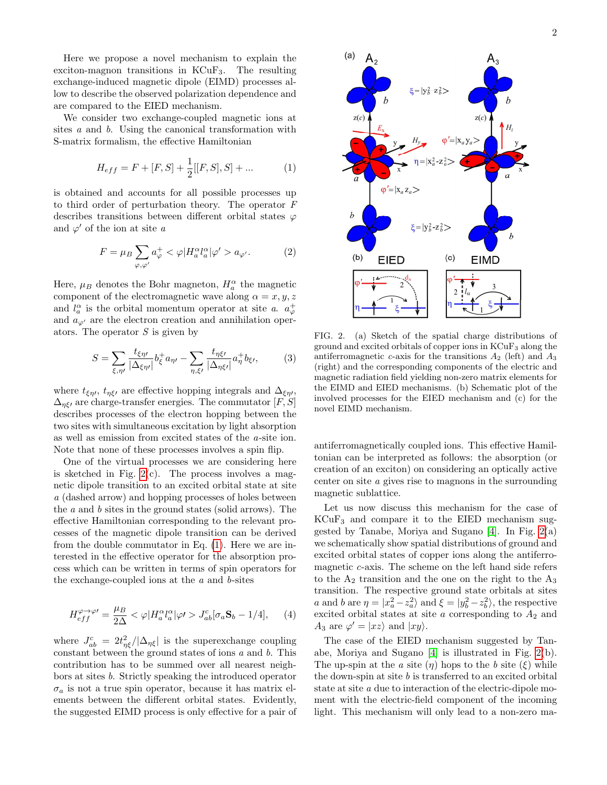Here we propose a novel mechanism to explain the exciton-magnon transitions in  $KCuF_3$ . The resulting exchange-induced magnetic dipole (EIMD) processes allow to describe the observed polarization dependence and are compared to the EIED mechanism.

We consider two exchange-coupled magnetic ions at sites a and b. Using the canonical transformation with S-matrix formalism, the effective Hamiltonian

<span id="page-1-1"></span>
$$
H_{eff} = F + [F, S] + \frac{1}{2}[[F, S], S] + \dots
$$
 (1)

is obtained and accounts for all possible processes up to third order of perturbation theory. The operator F describes transitions between different orbital states  $\varphi$ and  $\varphi'$  of the ion at site a

$$
F = \mu_B \sum_{\varphi, \varphi'} a_{\varphi}^+ < \varphi | H_a^{\alpha} l_a^{\alpha} | \varphi' > a_{\varphi'}.\tag{2}
$$

Here,  $\mu_B$  denotes the Bohr magneton,  $H_a^{\alpha}$  the magnetic component of the electromagnetic wave along  $\alpha = x, y, z$ and  $l_a^{\alpha}$  is the orbital momentum operator at site a.  $a_{\varphi}^+$ and  $a_{\varphi}$  are the electron creation and annihilation operators. The operator  $S$  is given by

$$
S = \sum_{\xi,\eta\prime} \frac{t_{\xi\eta\prime}}{|\Delta_{\xi\eta\prime}|} b_{\xi}^+ a_{\eta\prime} - \sum_{\eta,\xi\prime} \frac{t_{\eta\xi\prime}}{|\Delta_{\eta\xi\prime}|} a_{\eta}^+ b_{\xi\prime},\tag{3}
$$

where  $t_{\xi\eta}$ ,  $t_{\eta\xi}$  are effective hopping integrals and  $\Delta_{\xi\eta}$ ,  $\Delta_{\eta\xi}$ , are charge-transfer energies. The commutator  $[F, S]$ describes processes of the electron hopping between the two sites with simultaneous excitation by light absorption as well as emission from excited states of the a-site ion. Note that none of these processes involves a spin flip.

One of the virtual processes we are considering here is sketched in Fig.  $2(c)$ . The process involves a magnetic dipole transition to an excited orbital state at site a (dashed arrow) and hopping processes of holes between the a and b sites in the ground states (solid arrows). The effective Hamiltonian corresponding to the relevant processes of the magnetic dipole transition can be derived from the double commutator in Eq. [\(1\)](#page-1-1). Here we are interested in the effective operator for the absorption process which can be written in terms of spin operators for the exchange-coupled ions at the  $a$  and  $b$ -sites

<span id="page-1-2"></span>
$$
H_{eff}^{\varphi \to \varphi \prime} = \frac{\mu_B}{2\Delta} < \varphi | H_a^{\alpha} l_a^{\alpha} | \varphi \prime > J_{ab}^{c} [\sigma_a \mathbf{S}_b - 1/4], \qquad (4)
$$

where  $J_{ab}^c = 2t_{\eta\xi}^2/|\Delta_{\eta\xi}|$  is the superexchange coupling constant between the ground states of ions  $a$  and  $b$ . This contribution has to be summed over all nearest neighbors at sites b. Strictly speaking the introduced operator  $\sigma_a$  is not a true spin operator, because it has matrix elements between the different orbital states. Evidently, the suggested EIMD process is only effective for a pair of



<span id="page-1-0"></span>FIG. 2. (a) Sketch of the spatial charge distributions of ground and excited orbitals of copper ions in KCuF<sup>3</sup> along the antiferromagnetic c-axis for the transitions  $A_2$  (left) and  $A_3$ (right) and the corresponding components of the electric and magnetic radiation field yielding non-zero matrix elements for the EIMD and EIED mechanisms. (b) Schematic plot of the involved processes for the EIED mechanism and (c) for the novel EIMD mechanism.

antiferromagnetically coupled ions. This effective Hamiltonian can be interpreted as follows: the absorption (or creation of an exciton) on considering an optically active center on site a gives rise to magnons in the surrounding magnetic sublattice.

Let us now discuss this mechanism for the case of  $KCuF<sub>3</sub>$  and compare it to the EIED mechanism suggested by Tanabe, Moriya and Sugano [\[4\]](#page-3-2). In Fig. [2\(](#page-1-0)a) we schematically show spatial distributions of ground and excited orbital states of copper ions along the antiferromagnetic  $c$ -axis. The scheme on the left hand side refers to the  $A_2$  transition and the one on the right to the  $A_3$ transition. The respective ground state orbitals at sites a and b are  $\eta = |x_a^2 - z_a^2\rangle$  and  $\xi = |y_b^2 - z_b^2\rangle$ , the respective excited orbital states at site  $a$  corresponding to  $A_2$  and  $A_3$  are  $\varphi' = |xz\rangle$  and  $|xy\rangle$ .

The case of the EIED mechanism suggested by Tanabe, Moriya and Sugano [\[4\]](#page-3-2) is illustrated in Fig. [2\(](#page-1-0)b). The up-spin at the a site  $(\eta)$  hops to the b site  $(\xi)$  while the down-spin at site  $b$  is transferred to an excited orbital state at site a due to interaction of the electric-dipole moment with the electric-field component of the incoming light. This mechanism will only lead to a non-zero ma-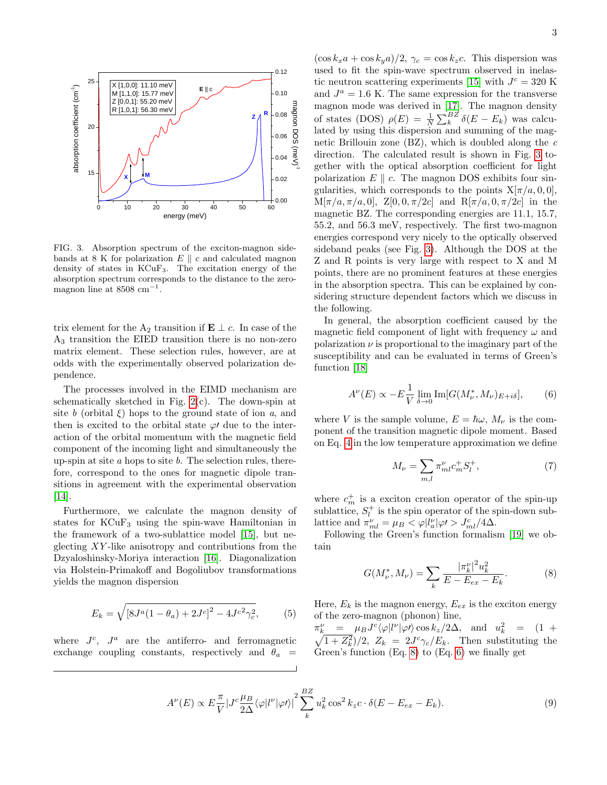

<span id="page-2-0"></span>FIG. 3. Absorption spectrum of the exciton-magnon sidebands at 8 K for polarization  $E \parallel c$  and calculated magnon density of states in KCuF3. The excitation energy of the absorption spectrum corresponds to the distance to the zeromagnon line at  $8508 \text{ cm}^{-1}$ .

trix element for the A<sub>2</sub> transition if **E**  $\perp$  c. In case of the A<sup>3</sup> transition the EIED transition there is no non-zero matrix element. These selection rules, however, are at odds with the experimentally observed polarization dependence.

The processes involved in the EIMD mechanism are schematically sketched in Fig.  $2(c)$ . The down-spin at site b (orbital  $\xi$ ) hops to the ground state of ion a, and then is excited to the orbital state  $\varphi$  due to the interaction of the orbital momentum with the magnetic field component of the incoming light and simultaneously the up-spin at site  $a$  hops to site  $b$ . The selection rules, therefore, correspond to the ones for magnetic dipole transitions in agreement with the experimental observation [\[14\]](#page-3-8).

Furthermore, we calculate the magnon density of states for KCuF<sup>3</sup> using the spin-wave Hamiltonian in the framework of a two-sublattice model [\[15\]](#page-3-9), but neglecting XY -like anisotropy and contributions from the Dzyaloshinsky-Moriya interaction [\[16\]](#page-3-10). Diagonalization via Holstein-Primakoff and Bogoliubov transformations yields the magnon dispersion

$$
E_k = \sqrt{[8J^a(1-\theta_a) + 2J^c]^2 - 4J^{c^2}\gamma_c^2},
$$
 (5)

where  $J^c$ ,  $J^a$  are the antiferro- and ferromagnetic exchange coupling constants, respectively and  $\theta_a$ 

0.00 M[ $\pi/a, \pi/a, 0$ ], Z[0, 0,  $\pi/2c$ ] and R[ $\pi/a, 0, \pi/2c$ ] in the  $\frac{3}{8}$  magnon mode was derived in [\[17\]](#page-3-11). The magnon density of states (DOS)  $\rho(E) = \frac{1}{N} \sum_{k}^{BZ} \delta(E - E_k)$  was calcug lated by using this dispersion and summing of the mag- $\phi$  netic Brillouin zone (BZ), which is doubled along the c direction. The calculated result is shown in Fig. [3](#page-2-0) to- $\leq$  gether with the optical absorption coefficient for light  $(\cos k_x a + \cos k_y a)/2$ ,  $\gamma_c = \cos k_z c$ . This dispersion was used to fit the spin-wave spectrum observed in inelas-tic neutron scattering experiments [\[15\]](#page-3-9) with  $J<sup>c</sup> = 320$  K and  $J^a = 1.6$  K. The same expression for the transverse polarization  $E \parallel c$ . The magnon DOS exhibits four singularities, which corresponds to the points  $X[\pi/a, 0, 0]$ , magnetic BZ. The corresponding energies are 11.1, 15.7, 55.2, and 56.3 meV, respectively. The first two-magnon energies correspond very nicely to the optically observed sideband peaks (see Fig. [3\)](#page-2-0). Although the DOS at the Z and R points is very large with respect to X and M points, there are no prominent features at these energies

> sidering structure dependent factors which we discuss in the following. In general, the absorption coefficient caused by the

> in the absorption spectra. This can be explained by con-

magnetic field component of light with frequency  $\omega$  and polarization  $\nu$  is proportional to the imaginary part of the susceptibility and can be evaluated in terms of Green's function [\[18\]](#page-3-12)

<span id="page-2-2"></span>
$$
A^{\nu}(E) \propto -E\frac{1}{V} \lim_{\delta \to 0} \text{Im}[G(M_{\nu}^*, M_{\nu})_{E+i\delta}], \qquad (6)
$$

where V is the sample volume,  $E = \hbar \omega$ ,  $M_{\nu}$  is the component of the transition magnetic dipole moment. Based on Eq. [4](#page-1-2) in the low temperature approximation we define

$$
M_{\nu} = \sum_{m,l} \pi_{ml}^{\nu} c_m^+ S_l^+, \tag{7}
$$

where  $c_m^+$  is a exciton creation operator of the spin-up sublattice,  $S_l^+$  is the spin operator of the spin-down sublattice and  $\pi_{ml}^{\nu} = \mu_B < \varphi |l_a^{\nu}| \varphi / \sum_{ml} \varphi / 4\Delta$ .

Following the Green's function formalism [\[19\]](#page-3-13) we obtain

<span id="page-2-1"></span>
$$
G(M_{\nu}^*, M_{\nu}) = \sum_{k} \frac{|\pi_k^{\nu}|^2 u_k^2}{E - E_{ex} - E_k}.
$$
 (8)

Here,  $E_k$  is the magnon energy,  $E_{ex}$  is the exciton energy of the zero-magnon (phonon) line,

 $\pi_k^{\nu} = \mu_B J^c \langle \varphi | l^{\nu} | \varphi \prime \rangle \cos k_z / 2\Delta$ , and  $u_k^2$  $\sqrt{ }$  $k_{k}^{2}$  =  $(1 +$  $\overline{(1+Z_k^2)}/2$ ,  $Z_k = 2J^c \gamma_c / E_k$ . Then substituting the Green's function (Eq. [8\)](#page-2-1) to (Eq. [6\)](#page-2-2) we finally get

$$
A^{\nu}(E) \propto E \frac{\pi}{V} |J^c \frac{\mu_B}{2\Delta} \langle \varphi | l^{\nu} | \varphi \prime \rangle|^2 \sum_{k}^{BZ} u_k^2 \cos^2 k_z c \cdot \delta(E - E_{ex} - E_k). \tag{9}
$$